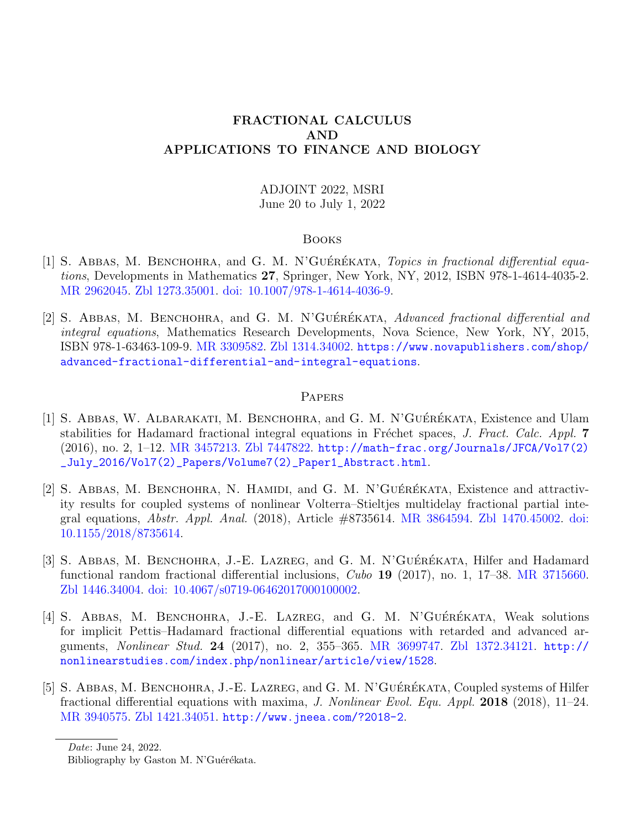# ADJOINT 2022, MSRI June 20 to July 1, 2022

#### Books

- [1] S. ABBAS, M. BENCHOHRA, and G. M. N'GUÉRÉKATA, Topics in fractional differential equations, Developments in Mathematics 27, Springer, New York, NY, 2012, ISBN 978-1-4614-4035-2. [MR 2962045.](http://www.ams.org/mathscinet-getitem?mr=2962045) [Zbl 1273.35001.](http://www.zbmath.org/?q=an:1273.35001) [doi: 10.1007/978-1-4614-4036-9.](https://doi.org/10.1007/978-1-4614-4036-9)
- [2] S. ABBAS, M. BENCHOHRA, and G. M. N'GUÉRÉKATA, Advanced fractional differential and integral equations, Mathematics Research Developments, Nova Science, New York, NY, 2015, ISBN 978-1-63463-109-9. [MR 3309582.](http://www.ams.org/mathscinet-getitem?mr=3309582) [Zbl 1314.34002.](http://www.zbmath.org/?q=an:1314.34002) [https://www.novapublishers.com/shop/](https://www.novapublishers.com/shop/advanced-fractional-differential-and-integral-equations) [advanced-fractional-differential-and-integral-equations](https://www.novapublishers.com/shop/advanced-fractional-differential-and-integral-equations).

### **PAPERS**

- [1] S. ABBAS, W. ALBARAKATI, M. BENCHOHRA, and G. M. N'GUÉRÉKATA, Existence and Ulam stabilities for Hadamard fractional integral equations in Fréchet spaces, J. Fract. Calc. Appl. 7 (2016), no. 2, 1–12. [MR 3457213.](http://www.ams.org/mathscinet-getitem?mr=3457213) [Zbl 7447822.](http://www.zbmath.org/?q=an:7447822) [http://math-frac.org/Journals/JFCA/Vol7\(2\)](http://math-frac.org/Journals/JFCA/Vol7(2)_July_2016/Vol7(2)_Papers/Volume7(2)_Paper1_Abstract.html) [\\_July\\_2016/Vol7\(2\)\\_Papers/Volume7\(2\)\\_Paper1\\_Abstract.html](http://math-frac.org/Journals/JFCA/Vol7(2)_July_2016/Vol7(2)_Papers/Volume7(2)_Paper1_Abstract.html).
- [2] S. ABBAS, M. BENCHOHRA, N. HAMIDI, and G. M. N'GUÉRÉKATA, Existence and attractivity results for coupled systems of nonlinear Volterra–Stieltjes multidelay fractional partial integral equations, Abstr. Appl. Anal. (2018), Article #8735614. [MR 3864594.](http://www.ams.org/mathscinet-getitem?mr=3864594) [Zbl 1470.45002.](http://www.zbmath.org/?q=an:1470.45002) [doi:](https://doi.org/10.1155/2018/8735614) [10.1155/2018/8735614.](https://doi.org/10.1155/2018/8735614)
- [3] S. ABBAS, M. BENCHOHRA, J.-E. LAZREG, and G. M. N'GUÉRÉKATA, Hilfer and Hadamard functional random fractional differential inclusions, Cubo 19 (2017), no. 1, 17–38. [MR 3715660.](http://www.ams.org/mathscinet-getitem?mr=3715660) [Zbl 1446.34004.](http://www.zbmath.org/?q=an:1446.34004) [doi: 10.4067/s0719-06462017000100002.](https://doi.org/10.4067/s0719-06462017000100002)
- [4] S. ABBAS, M. BENCHOHRA, J.-E. LAZREG, and G. M. N'GUÉRÉKATA, Weak solutions for implicit Pettis–Hadamard fractional differential equations with retarded and advanced arguments, Nonlinear Stud. 24 (2017), no. 2, 355–365. [MR 3699747.](http://www.ams.org/mathscinet-getitem?mr=3699747) [Zbl 1372.34121.](http://www.zbmath.org/?q=an:1372.34121) [http://](http://nonlinearstudies.com/index.php/nonlinear/article/view/1528) [nonlinearstudies.com/index.php/nonlinear/article/view/1528](http://nonlinearstudies.com/index.php/nonlinear/article/view/1528).
- [5] S. ABBAS, M. BENCHOHRA, J.-E. LAZREG, and G. M. N'GUÉRÉKATA, Coupled systems of Hilfer fractional differential equations with maxima, J. Nonlinear Evol. Equ. Appl. 2018 (2018), 11–24. [MR 3940575.](http://www.ams.org/mathscinet-getitem?mr=3940575) [Zbl 1421.34051.](http://www.zbmath.org/?q=an:1421.34051) <http://www.jneea.com/?2018-2>.

Date: June 24, 2022.

Bibliography by Gaston M. N'Guérékata.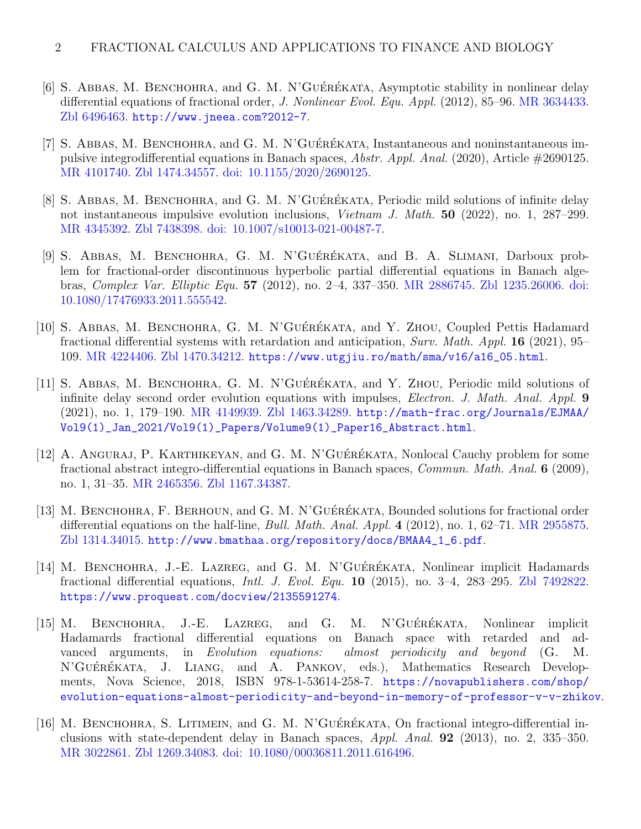- [6] S. ABBAS, M. BENCHOHRA, and G. M. N'GUÉRÉKATA, Asymptotic stability in nonlinear delay differential equations of fractional order, J. Nonlinear Evol. Equ. Appl. (2012), 85–96. [MR 3634433.](http://www.ams.org/mathscinet-getitem?mr=3634433) [Zbl 6496463.](http://www.zbmath.org/?q=an:6496463) <http://www.jneea.com?2012-7>.
- [7] S. ABBAS, M. BENCHOHRA, and G. M. N'GUÉRÉKATA, Instantaneous and noninstantaneous impulsive integrodifferential equations in Banach spaces, Abstr. Appl. Anal. (2020), Article #2690125. [MR 4101740.](http://www.ams.org/mathscinet-getitem?mr=4101740) [Zbl 1474.34557.](http://www.zbmath.org/?q=an:1474.34557) [doi: 10.1155/2020/2690125.](https://doi.org/10.1155/2020/2690125)
- [8] S. ABBAS, M. BENCHOHRA, and G. M. N'GUÉRÉKATA, Periodic mild solutions of infinite delay not instantaneous impulsive evolution inclusions, Vietnam J. Math. 50 (2022), no. 1, 287–299. [MR 4345392.](http://www.ams.org/mathscinet-getitem?mr=4345392) [Zbl 7438398.](http://www.zbmath.org/?q=an:7438398) [doi: 10.1007/s10013-021-00487-7.](https://doi.org/10.1007/s10013-021-00487-7)
- [9] S. ABBAS, M. BENCHOHRA, G. M. N'GUÉRÉKATA, and B. A. SLIMANI, Darboux problem for fractional-order discontinuous hyperbolic partial differential equations in Banach algebras, Complex Var. Elliptic Equ. 57 (2012), no. 2–4, 337–350. [MR 2886745.](http://www.ams.org/mathscinet-getitem?mr=2886745) [Zbl 1235.26006.](http://www.zbmath.org/?q=an:1235.26006) [doi:](https://doi.org/10.1080/17476933.2011.555542) [10.1080/17476933.2011.555542.](https://doi.org/10.1080/17476933.2011.555542)
- [10] S. ABBAS, M. BENCHOHRA, G. M. N'GUÉRÉKATA, and Y. ZHOU, Coupled Pettis Hadamard fractional differential systems with retardation and anticipation, Surv. Math. Appl. 16 (2021), 95– 109. [MR 4224406.](http://www.ams.org/mathscinet-getitem?mr=4224406) [Zbl 1470.34212.](http://www.zbmath.org/?q=an:1470.34212) [https://www.utgjiu.ro/math/sma/v16/a16\\_05.html](https://www.utgjiu.ro/math/sma/v16/a16_05.html).
- [11] S. ABBAS, M. BENCHOHRA, G. M. N'GUÉRÉKATA, and Y. ZHOU, Periodic mild solutions of infinite delay second order evolution equations with impulses, *Electron. J. Math. Anal. Appl.* 9 (2021), no. 1, 179–190. [MR 4149939.](http://www.ams.org/mathscinet-getitem?mr=4149939) [Zbl 1463.34289.](http://www.zbmath.org/?q=an:1463.34289) [http://math-frac.org/Journals/EJMAA/](http://math-frac.org/Journals/EJMAA/Vol9(1)_Jan_2021/Vol9(1)_Papers/Volume9(1)_Paper16_Abstract.html) [Vol9\(1\)\\_Jan\\_2021/Vol9\(1\)\\_Papers/Volume9\(1\)\\_Paper16\\_Abstract.html](http://math-frac.org/Journals/EJMAA/Vol9(1)_Jan_2021/Vol9(1)_Papers/Volume9(1)_Paper16_Abstract.html).
- [12] A. ANGURAJ, P. KARTHIKEYAN, and G. M. N'GUÉRÉKATA, Nonlocal Cauchy problem for some fractional abstract integro-differential equations in Banach spaces, Commun. Math. Anal. 6 (2009), no. 1, 31–35. [MR 2465356.](http://www.ams.org/mathscinet-getitem?mr=2465356) [Zbl 1167.34387.](http://www.zbmath.org/?q=an:1167.34387)
- [13] M. BENCHOHRA, F. BERHOUN, and G. M. N'GUÉRÉKATA, Bounded solutions for fractional order differential equations on the half-line, *Bull. Math. Anal. Appl.* 4 (2012), no. 1, 62–71. [MR 2955875.](http://www.ams.org/mathscinet-getitem?mr=2955875) [Zbl 1314.34015.](http://www.zbmath.org/?q=an:1314.34015) [http://www.bmathaa.org/repository/docs/BMAA4\\_1\\_6.pdf](http://www.bmathaa.org/repository/docs/BMAA4_1_6.pdf).
- [14] M. BENCHOHRA, J.-E. LAZREG, and G. M. N'GUÉRÉKATA, Nonlinear implicit Hadamards fractional differential equations, *Intl. J. Evol. Equ.* **10** (2015), no. 3-4, 283-295. [Zbl 7492822.](http://www.zbmath.org/?q=an:7492822) <https://www.proquest.com/docview/2135591274>.
- [15] M. BENCHOHRA, J.-E. LAZREG, and G. M. N'GUÉRÉKATA, Nonlinear implicit Hadamards fractional differential equations on Banach space with retarded and advanced arguments, in Evolution equations: almost periodicity and beyond (G. M. N'GUÉRÉKATA, J. LIANG, and A. PANKOV, eds.), Mathematics Research Developments, Nova Science, 2018, ISBN 978-1-53614-258-7. [https://novapublishers.com/shop/](https://novapublishers.com/shop/evolution-equations-almost-periodicity-and-beyond-in-memory-of-professor-v-v-zhikov) [evolution-equations-almost-periodicity-and-beyond-in-memory-of-professor-v-v-zhikov](https://novapublishers.com/shop/evolution-equations-almost-periodicity-and-beyond-in-memory-of-professor-v-v-zhikov).
- [16] M. BENCHOHRA, S. LITIMEIN, and G. M. N'GUÉRÉKATA, On fractional integro-differential inclusions with state-dependent delay in Banach spaces, Appl. Anal. 92 (2013), no. 2, 335–350. [MR 3022861.](http://www.ams.org/mathscinet-getitem?mr=3022861) [Zbl 1269.34083.](http://www.zbmath.org/?q=an:1269.34083) [doi: 10.1080/00036811.2011.616496.](https://doi.org/10.1080/00036811.2011.616496)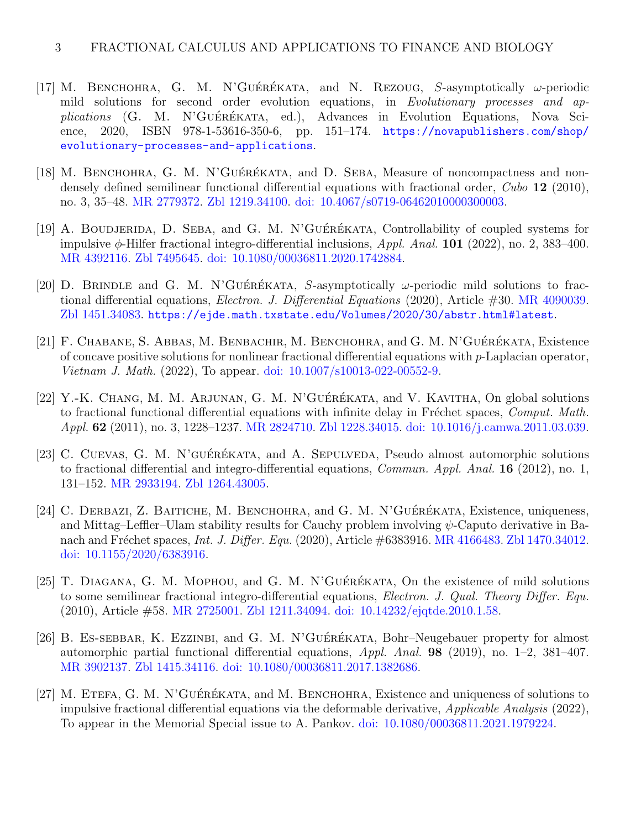- [17] M. BENCHOHRA, G. M. N'GUÉRÉKATA, and N. REZOUG, S-asymptotically  $\omega$ -periodic mild solutions for second order evolution equations, in Evolutionary processes and ap $plications$  (G. M. N'GUÉRÉKATA, ed.), Advances in Evolution Equations, Nova Science, 2020, ISBN 978-1-53616-350-6, pp. 151–174. [https://novapublishers.com/shop/](https://novapublishers.com/shop/evolutionary-processes-and-applications) [evolutionary-processes-and-applications](https://novapublishers.com/shop/evolutionary-processes-and-applications).
- [18] M. BENCHOHRA, G. M. N'GUÉRÉKATA, and D. SEBA, Measure of noncompactness and nondensely defined semilinear functional differential equations with fractional order, Cubo 12 (2010), no. 3, 35–48. [MR 2779372.](http://www.ams.org/mathscinet-getitem?mr=2779372) [Zbl 1219.34100.](http://www.zbmath.org/?q=an:1219.34100) [doi: 10.4067/s0719-06462010000300003.](https://doi.org/10.4067/s0719-06462010000300003)
- [19] A. BOUDJERIDA, D. SEBA, and G. M. N'GUÉRÉKATA, Controllability of coupled systems for impulsive  $\phi$ -Hilfer fractional integro-differential inclusions, Appl. Anal. **101** (2022), no. 2, 383–400. [MR 4392116.](http://www.ams.org/mathscinet-getitem?mr=4392116) [Zbl 7495645.](http://www.zbmath.org/?q=an:7495645) [doi: 10.1080/00036811.2020.1742884.](https://doi.org/10.1080/00036811.2020.1742884)
- [20] D. BRINDLE and G. M. N'GUÉRÉKATA, S-asymptotically  $\omega$ -periodic mild solutions to fractional differential equations, Electron. J. Differential Equations (2020), Article #30. [MR 4090039.](http://www.ams.org/mathscinet-getitem?mr=4090039) [Zbl 1451.34083.](http://www.zbmath.org/?q=an:1451.34083) <https://ejde.math.txstate.edu/Volumes/2020/30/abstr.html#latest>.
- [21] F. CHABANE, S. ABBAS, M. BENBACHIR, M. BENCHOHRA, and G. M. N'GUÉRÉKATA, Existence of concave positive solutions for nonlinear fractional differential equations with  $p$ -Laplacian operator, Vietnam J. Math. (2022), To appear. [doi: 10.1007/s10013-022-00552-9.](https://doi.org/10.1007/s10013-022-00552-9)
- [22] Y.-K. CHANG, M. M. ARJUNAN, G. M. N'GUÉRÉKATA, and V. KAVITHA, On global solutions to fractional functional differential equations with infinite delay in Fréchet spaces, Comput. Math. Appl. 62 (2011), no. 3, 1228–1237. [MR 2824710.](http://www.ams.org/mathscinet-getitem?mr=2824710) [Zbl 1228.34015.](http://www.zbmath.org/?q=an:1228.34015) [doi: 10.1016/j.camwa.2011.03.039.](https://doi.org/10.1016/j.camwa.2011.03.039)
- [23] C. CUEVAS, G. M. N'GUÉRÉKATA, and A. SEPULVEDA, Pseudo almost automorphic solutions to fractional differential and integro-differential equations, *Commun. Appl. Anal.* **16** (2012), no. 1, 131–152. [MR 2933194.](http://www.ams.org/mathscinet-getitem?mr=2933194) [Zbl 1264.43005.](http://www.zbmath.org/?q=an:1264.43005)
- [24] C. DERBAZI, Z. BAITICHE, M. BENCHOHRA, and G. M. N'GUÉRÉKATA, Existence, uniqueness, and Mittag–Leffler–Ulam stability results for Cauchy problem involving  $\psi$ -Caputo derivative in Banach and Fréchet spaces, *Int. J. Differ. Equ.* (2020), Article #6383916. [MR 4166483.](http://www.ams.org/mathscinet-getitem?mr=4166483) [Zbl 1470.34012.](http://www.zbmath.org/?q=an:1470.34012) [doi: 10.1155/2020/6383916.](https://doi.org/10.1155/2020/6383916)
- [25] T. DIAGANA, G. M. MOPHOU, and G. M. N'GUÉRÉKATA, On the existence of mild solutions to some semilinear fractional integro-differential equations, Electron. J. Qual. Theory Differ. Equ. (2010), Article #58. [MR 2725001.](http://www.ams.org/mathscinet-getitem?mr=2725001) [Zbl 1211.34094.](http://www.zbmath.org/?q=an:1211.34094) [doi: 10.14232/ejqtde.2010.1.58.](https://doi.org/10.14232/ejqtde.2010.1.58)
- [26] B. ES-SEBBAR, K. EZZINBI, and G. M. N'GUÉRÉKATA, Bohr–Neugebauer property for almost automorphic partial functional differential equations,  $Appl. Anal.$  **98** (2019), no. 1–2, 381–407. [MR 3902137.](http://www.ams.org/mathscinet-getitem?mr=3902137) [Zbl 1415.34116.](http://www.zbmath.org/?q=an:1415.34116) [doi: 10.1080/00036811.2017.1382686.](https://doi.org/10.1080/00036811.2017.1382686)
- [27] M. ETEFA, G. M. N'GUÉRÉKATA, and M. BENCHOHRA, Existence and uniqueness of solutions to impulsive fractional differential equations via the deformable derivative, Applicable Analysis (2022), To appear in the Memorial Special issue to A. Pankov. [doi: 10.1080/00036811.2021.1979224.](https://doi.org/10.1080/00036811.2021.1979224)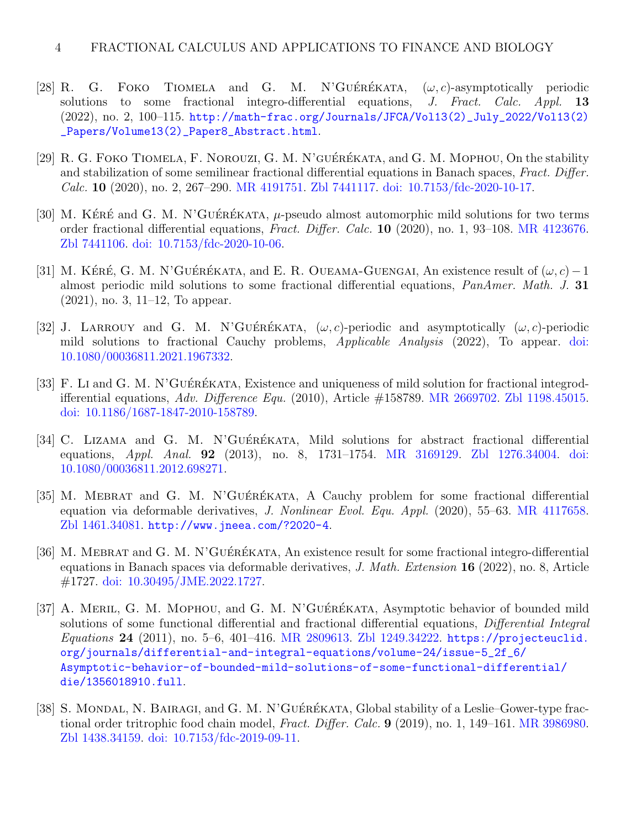- [28] R. G. FOKO TIOMELA and G. M. N'GUÉRÉKATA,  $(\omega, c)$ -asymptotically periodic solutions to some fractional integro-differential equations,  $J. Fract.$  Calc. Appl. 13 (2022), no. 2, 100–115. [http://math-frac.org/Journals/JFCA/Vol13\(2\)\\_July\\_2022/Vol13\(2\)](http://math-frac.org/Journals/JFCA/Vol13(2)_July_2022/Vol13(2)_Papers/Volume13(2)_Paper8_Abstract.html) [\\_Papers/Volume13\(2\)\\_Paper8\\_Abstract.html](http://math-frac.org/Journals/JFCA/Vol13(2)_July_2022/Vol13(2)_Papers/Volume13(2)_Paper8_Abstract.html).
- [29] R. G. FOKO TIOMELA, F. NOROUZI, G. M. N'GUÉRÉKATA, and G. M. MOPHOU, On the stability and stabilization of some semilinear fractional differential equations in Banach spaces, Fract. Differ. Calc. 10 (2020), no. 2, 267–290. [MR 4191751.](http://www.ams.org/mathscinet-getitem?mr=4191751) [Zbl 7441117.](http://www.zbmath.org/?q=an:7441117) [doi: 10.7153/fdc-2020-10-17.](https://doi.org/10.7153/fdc-2020-10-17)
- [30] M. KÉRÉ and G. M. N'GUÉRÉKATA,  $\mu$ -pseudo almost automorphic mild solutions for two terms order fractional differential equations, Fract. Differ. Calc. 10 (2020), no. 1, 93–108. [MR 4123676.](http://www.ams.org/mathscinet-getitem?mr=4123676) [Zbl 7441106.](http://www.zbmath.org/?q=an:7441106) [doi: 10.7153/fdc-2020-10-06.](https://doi.org/10.7153/fdc-2020-10-06)
- [31] M. KÉRÉ, G. M. N'GUÉRÉKATA, and E. R. OUEAMA-GUENGAI, An existence result of  $(\omega, c) 1$ almost periodic mild solutions to some fractional differential equations, PanAmer. Math. J. 31 (2021), no. 3, 11–12, To appear.
- [32] J. LARROUY and G. M. N'GUÉRÉKATA,  $(\omega, c)$ -periodic and asymptotically  $(\omega, c)$ -periodic mild solutions to fractional Cauchy problems, Applicable Analysis (2022), To appear. [doi:](https://doi.org/10.1080/00036811.2021.1967332) [10.1080/00036811.2021.1967332.](https://doi.org/10.1080/00036811.2021.1967332)
- [33] F. Li and G. M. N'GUÉRÉKATA, Existence and uniqueness of mild solution for fractional integrodifferential equations, Adv. Difference Equ. (2010), Article  $\#158789$ . [MR 2669702.](http://www.ams.org/mathscinet-getitem?mr=2669702) [Zbl 1198.45015.](http://www.zbmath.org/?q=an:1198.45015) [doi: 10.1186/1687-1847-2010-158789.](https://doi.org/10.1186/1687-1847-2010-158789)
- [34] C. LIZAMA and G. M. N'GUÉRÉKATA, Mild solutions for abstract fractional differential equations, Appl. Anal. 92 (2013), no. 8, 1731–1754. [MR 3169129.](http://www.ams.org/mathscinet-getitem?mr=3169129) [Zbl 1276.34004.](http://www.zbmath.org/?q=an:1276.34004) [doi:](https://doi.org/10.1080/00036811.2012.698271) [10.1080/00036811.2012.698271.](https://doi.org/10.1080/00036811.2012.698271)
- [35] M. MEBRAT and G. M. N'GUÉRÉKATA, A Cauchy problem for some fractional differential equation via deformable derivatives, *J. Nonlinear Evol. Equ. Appl.* (2020), 55–63. [MR 4117658.](http://www.ams.org/mathscinet-getitem?mr=4117658) [Zbl 1461.34081.](http://www.zbmath.org/?q=an:1461.34081) <http://www.jneea.com/?2020-4>.
- [36] M. MEBRAT and G. M. N'GUÉRÉKATA, An existence result for some fractional integro-differential equations in Banach spaces via deformable derivatives, J. Math. Extension 16 (2022), no. 8, Article #1727. [doi: 10.30495/JME.2022.1727.](https://doi.org/10.30495/JME.2022.1727)
- [37] A. MERIL, G. M. MOPHOU, and G. M. N'GUÉRÉKATA, Asymptotic behavior of bounded mild solutions of some functional differential and fractional differential equations, Differential Integral Equations 24 (2011), no. 5–6, 401–416. [MR 2809613.](http://www.ams.org/mathscinet-getitem?mr=2809613) [Zbl 1249.34222.](http://www.zbmath.org/?q=an:1249.34222) [https://projecteuclid.](https://projecteuclid.org/journals/differential-and-integral-equations/volume-24/issue-5_2f_6/Asymptotic-behavior-of-bounded-mild-solutions-of-some-functional-differential/die/1356018910.full) [org/journals/differential-and-integral-equations/volume-24/issue-5\\_2f\\_6/](https://projecteuclid.org/journals/differential-and-integral-equations/volume-24/issue-5_2f_6/Asymptotic-behavior-of-bounded-mild-solutions-of-some-functional-differential/die/1356018910.full) [Asymptotic-behavior-of-bounded-mild-solutions-of-some-functional-differential/](https://projecteuclid.org/journals/differential-and-integral-equations/volume-24/issue-5_2f_6/Asymptotic-behavior-of-bounded-mild-solutions-of-some-functional-differential/die/1356018910.full) [die/1356018910.full](https://projecteuclid.org/journals/differential-and-integral-equations/volume-24/issue-5_2f_6/Asymptotic-behavior-of-bounded-mild-solutions-of-some-functional-differential/die/1356018910.full).
- [38] S. MONDAL, N. BAIRAGI, and G. M. N'GUÉRÉKATA, Global stability of a Leslie–Gower-type fractional order tritrophic food chain model, Fract. Differ. Calc. 9 (2019), no. 1, 149–161. [MR 3986980.](http://www.ams.org/mathscinet-getitem?mr=3986980) [Zbl 1438.34159.](http://www.zbmath.org/?q=an:1438.34159) [doi: 10.7153/fdc-2019-09-11.](https://doi.org/10.7153/fdc-2019-09-11)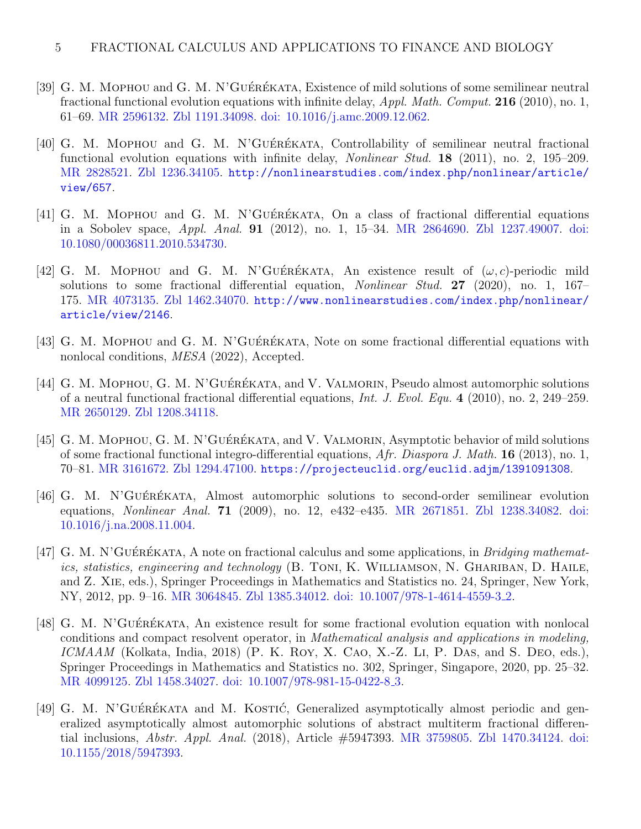- [39] G. M. MOPHOU and G. M. N'GUÉRÉKATA, Existence of mild solutions of some semilinear neutral fractional functional evolution equations with infinite delay,  $Appl. Math. Comput. 216 (2010), no. 1,$ 61–69. [MR 2596132.](http://www.ams.org/mathscinet-getitem?mr=2596132) [Zbl 1191.34098.](http://www.zbmath.org/?q=an:1191.34098) [doi: 10.1016/j.amc.2009.12.062.](https://doi.org/10.1016/j.amc.2009.12.062)
- [40] G. M. MOPHOU and G. M. N'GUÉRÉKATA, Controllability of semilinear neutral fractional functional evolution equations with infinite delay, *Nonlinear Stud.* **18** (2011), no. 2, 195–209. [MR 2828521.](http://www.ams.org/mathscinet-getitem?mr=2828521) [Zbl 1236.34105.](http://www.zbmath.org/?q=an:1236.34105) [http://nonlinearstudies.com/index.php/nonlinear/article/](http://nonlinearstudies.com/index.php/nonlinear/article/view/657) [view/657](http://nonlinearstudies.com/index.php/nonlinear/article/view/657).
- [41] G. M. MOPHOU and G. M. N'GUÉRÉKATA, On a class of fractional differential equations in a Sobolev space, Appl. Anal. 91 (2012), no. 1, 15–34. [MR 2864690.](http://www.ams.org/mathscinet-getitem?mr=2864690) [Zbl 1237.49007.](http://www.zbmath.org/?q=an:1237.49007) [doi:](https://doi.org/10.1080/00036811.2010.534730) [10.1080/00036811.2010.534730.](https://doi.org/10.1080/00036811.2010.534730)
- [42] G. M. MOPHOU and G. M. N'GUÉRÉKATA, An existence result of  $(\omega, c)$ -periodic mild solutions to some fractional differential equation, Nonlinear Stud. 27 (2020), no. 1, 167– 175. [MR 4073135.](http://www.ams.org/mathscinet-getitem?mr=4073135) [Zbl 1462.34070.](http://www.zbmath.org/?q=an:1462.34070) [http://www.nonlinearstudies.com/index.php/nonlinear/](http://www.nonlinearstudies.com/index.php/nonlinear/article/view/2146) [article/view/2146](http://www.nonlinearstudies.com/index.php/nonlinear/article/view/2146).
- [43] G. M. MOPHOU and G. M. N'GUÉRÉKATA, Note on some fractional differential equations with nonlocal conditions, *MESA* (2022), Accepted.
- [44] G. M. MOPHOU, G. M. N'GUÉRÉKATA, and V. VALMORIN, Pseudo almost automorphic solutions of a neutral functional fractional differential equations, Int. J. Evol. Equ. 4 (2010), no. 2, 249–259. [MR 2650129.](http://www.ams.org/mathscinet-getitem?mr=2650129) [Zbl 1208.34118.](http://www.zbmath.org/?q=an:1208.34118)
- [45] G. M. MOPHOU, G. M. N'GUÉRÉKATA, and V. VALMORIN, Asymptotic behavior of mild solutions of some fractional functional integro-differential equations, Afr. Diaspora J. Math. 16 (2013), no. 1, 70–81. [MR 3161672.](http://www.ams.org/mathscinet-getitem?mr=3161672) [Zbl 1294.47100.](http://www.zbmath.org/?q=an:1294.47100) <https://projecteuclid.org/euclid.adjm/1391091308>.
- [46] G. M. N'GUÉRÉKATA, Almost automorphic solutions to second-order semilinear evolution equations, Nonlinear Anal. 71 (2009), no. 12, e432–e435. [MR 2671851.](http://www.ams.org/mathscinet-getitem?mr=2671851) [Zbl 1238.34082.](http://www.zbmath.org/?q=an:1238.34082) [doi:](https://doi.org/10.1016/j.na.2008.11.004) [10.1016/j.na.2008.11.004.](https://doi.org/10.1016/j.na.2008.11.004)
- [47] G. M. N'GUÉRÉKATA, A note on fractional calculus and some applications, in Bridging mathematics, statistics, engineering and technology (B. TONI, K. WILLIAMSON, N. GHARIBAN, D. HAILE, and Z. Xie, eds.), Springer Proceedings in Mathematics and Statistics no. 24, Springer, New York, NY, 2012, pp. 9–16. [MR 3064845.](http://www.ams.org/mathscinet-getitem?mr=3064845) [Zbl 1385.34012.](http://www.zbmath.org/?q=an:1385.34012) [doi: 10.1007/978-1-4614-4559-3](https://doi.org/10.1007/978-1-4614-4559-3_2) 2.
- [48] G. M. N'GUÉRÉKATA, An existence result for some fractional evolution equation with nonlocal conditions and compact resolvent operator, in Mathematical analysis and applications in modeling, ICMAAM (Kolkata, India, 2018) (P. K. Roy, X. CAO, X.-Z. LI, P. DAS, and S. DEO, eds.), Springer Proceedings in Mathematics and Statistics no. 302, Springer, Singapore, 2020, pp. 25–32. [MR 4099125.](http://www.ams.org/mathscinet-getitem?mr=4099125) [Zbl 1458.34027.](http://www.zbmath.org/?q=an:1458.34027) [doi: 10.1007/978-981-15-0422-8](https://doi.org/10.1007/978-981-15-0422-8_3) 3.
- [49] G. M. N'GUÉRÉKATA and M. KOSTIĆ, Generalized asymptotically almost periodic and generalized asymptotically almost automorphic solutions of abstract multiterm fractional differential inclusions, Abstr. Appl. Anal. (2018), Article #5947393. [MR 3759805.](http://www.ams.org/mathscinet-getitem?mr=3759805) [Zbl 1470.34124.](http://www.zbmath.org/?q=an:1470.34124) [doi:](https://doi.org/10.1155/2018/5947393) [10.1155/2018/5947393.](https://doi.org/10.1155/2018/5947393)